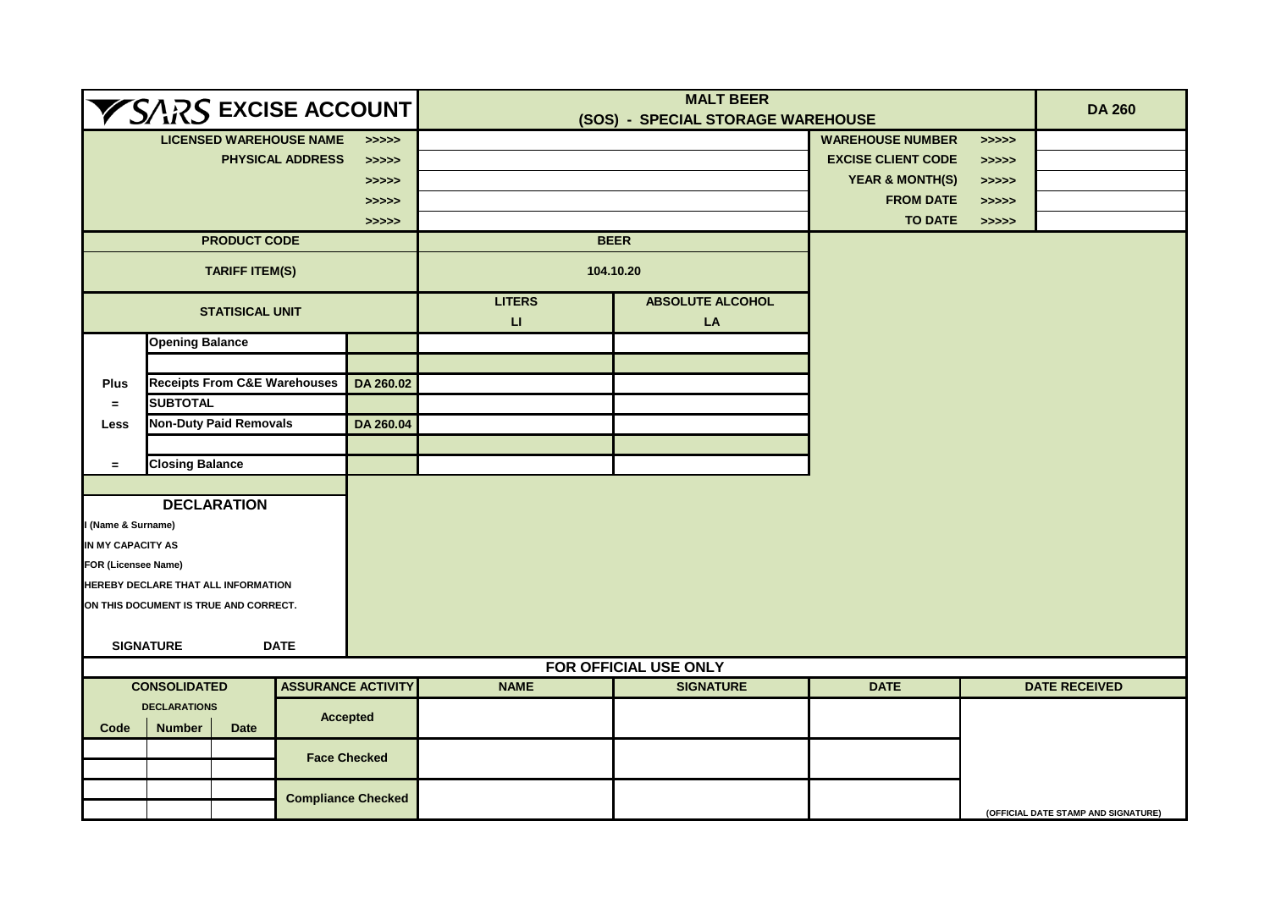| $\blacktriangledown$ SARS excise account $ $     |                               |                                                       |                           |                                                   | <b>MALT BEER</b><br>(SOS) - SPECIAL STORAGE WAREHOUSE |                                           |                            |                                                   | <b>DA 260</b>                       |
|--------------------------------------------------|-------------------------------|-------------------------------------------------------|---------------------------|---------------------------------------------------|-------------------------------------------------------|-------------------------------------------|----------------------------|---------------------------------------------------|-------------------------------------|
| <b>LICENSED WAREHOUSE NAME</b><br>>>>>>          |                               |                                                       |                           |                                                   |                                                       |                                           | <b>WAREHOUSE NUMBER</b>    | >>>>                                              |                                     |
| <b>PHYSICAL ADDRESS</b><br>>>>>>                 |                               |                                                       |                           |                                                   |                                                       |                                           | <b>EXCISE CLIENT CODE</b>  | $\rightarrow \rightarrow \rightarrow \rightarrow$ |                                     |
|                                                  |                               |                                                       |                           | >>>>>                                             |                                                       |                                           | <b>YEAR &amp; MONTH(S)</b> | $\Rightarrow \Rightarrow \Rightarrow \Rightarrow$ |                                     |
|                                                  |                               |                                                       |                           | $\rightarrow \rightarrow \rightarrow \rightarrow$ |                                                       |                                           | <b>FROM DATE</b>           | >>>>>                                             |                                     |
|                                                  |                               |                                                       |                           | >>>>>                                             |                                                       |                                           | <b>TO DATE</b>             | >>>>>                                             |                                     |
|                                                  |                               | <b>PRODUCT CODE</b>                                   |                           |                                                   | <b>BEER</b>                                           |                                           |                            |                                                   |                                     |
| <b>TARIFF ITEM(S)</b>                            |                               |                                                       |                           |                                                   | 104.10.20                                             |                                           |                            |                                                   |                                     |
|                                                  | <b>STATISICAL UNIT</b>        |                                                       |                           |                                                   | <b>LITERS</b><br>$\sqcup$                             | <b>ABSOLUTE ALCOHOL</b><br>LA             |                            |                                                   |                                     |
|                                                  | <b>Opening Balance</b>        |                                                       |                           |                                                   |                                                       |                                           |                            |                                                   |                                     |
|                                                  |                               |                                                       |                           |                                                   |                                                       |                                           |                            |                                                   |                                     |
| <b>Plus</b>                                      |                               | <b>Receipts From C&amp;E Warehouses</b>               |                           | DA 260.02                                         |                                                       |                                           |                            |                                                   |                                     |
| $\equiv$                                         |                               | <b>SUBTOTAL</b>                                       |                           |                                                   |                                                       |                                           |                            |                                                   |                                     |
| Less                                             | <b>Non-Duty Paid Removals</b> |                                                       |                           | DA 260.04                                         |                                                       |                                           |                            |                                                   |                                     |
|                                                  |                               |                                                       |                           |                                                   |                                                       |                                           |                            |                                                   |                                     |
| $\equiv$                                         | <b>Closing Balance</b>        |                                                       |                           |                                                   |                                                       |                                           |                            |                                                   |                                     |
|                                                  |                               |                                                       |                           |                                                   |                                                       |                                           |                            |                                                   |                                     |
|                                                  |                               | <b>DECLARATION</b>                                    |                           |                                                   |                                                       |                                           |                            |                                                   |                                     |
| (Name & Surname)                                 |                               |                                                       |                           |                                                   |                                                       |                                           |                            |                                                   |                                     |
| IN MY CAPACITY AS                                |                               |                                                       |                           |                                                   |                                                       |                                           |                            |                                                   |                                     |
| FOR (Licensee Name)                              |                               |                                                       |                           |                                                   |                                                       |                                           |                            |                                                   |                                     |
| HEREBY DECLARE THAT ALL INFORMATION              |                               |                                                       |                           |                                                   |                                                       |                                           |                            |                                                   |                                     |
| ON THIS DOCUMENT IS TRUE AND CORRECT.            |                               |                                                       |                           |                                                   |                                                       |                                           |                            |                                                   |                                     |
|                                                  |                               |                                                       |                           |                                                   |                                                       |                                           |                            |                                                   |                                     |
|                                                  | <b>SIGNATURE</b>              |                                                       | <b>DATE</b>               |                                                   |                                                       |                                           |                            |                                                   |                                     |
|                                                  |                               |                                                       |                           |                                                   | <b>NAME</b>                                           | FOR OFFICIAL USE ONLY<br><b>SIGNATURE</b> | <b>DATE</b>                |                                                   | <b>DATE RECEIVED</b>                |
| <b>CONSOLIDATED</b><br><b>ASSURANCE ACTIVITY</b> |                               |                                                       |                           |                                                   |                                                       |                                           |                            |                                                   |                                     |
| Code                                             | <b>Number</b>                 | <b>DECLARATIONS</b><br><b>Accepted</b><br><b>Date</b> |                           |                                                   |                                                       |                                           |                            |                                                   |                                     |
|                                                  |                               |                                                       | <b>Face Checked</b>       |                                                   |                                                       |                                           |                            |                                                   |                                     |
|                                                  |                               |                                                       | <b>Compliance Checked</b> |                                                   |                                                       |                                           |                            |                                                   | (OFFICIAL DATE STAMP AND SIGNATURE) |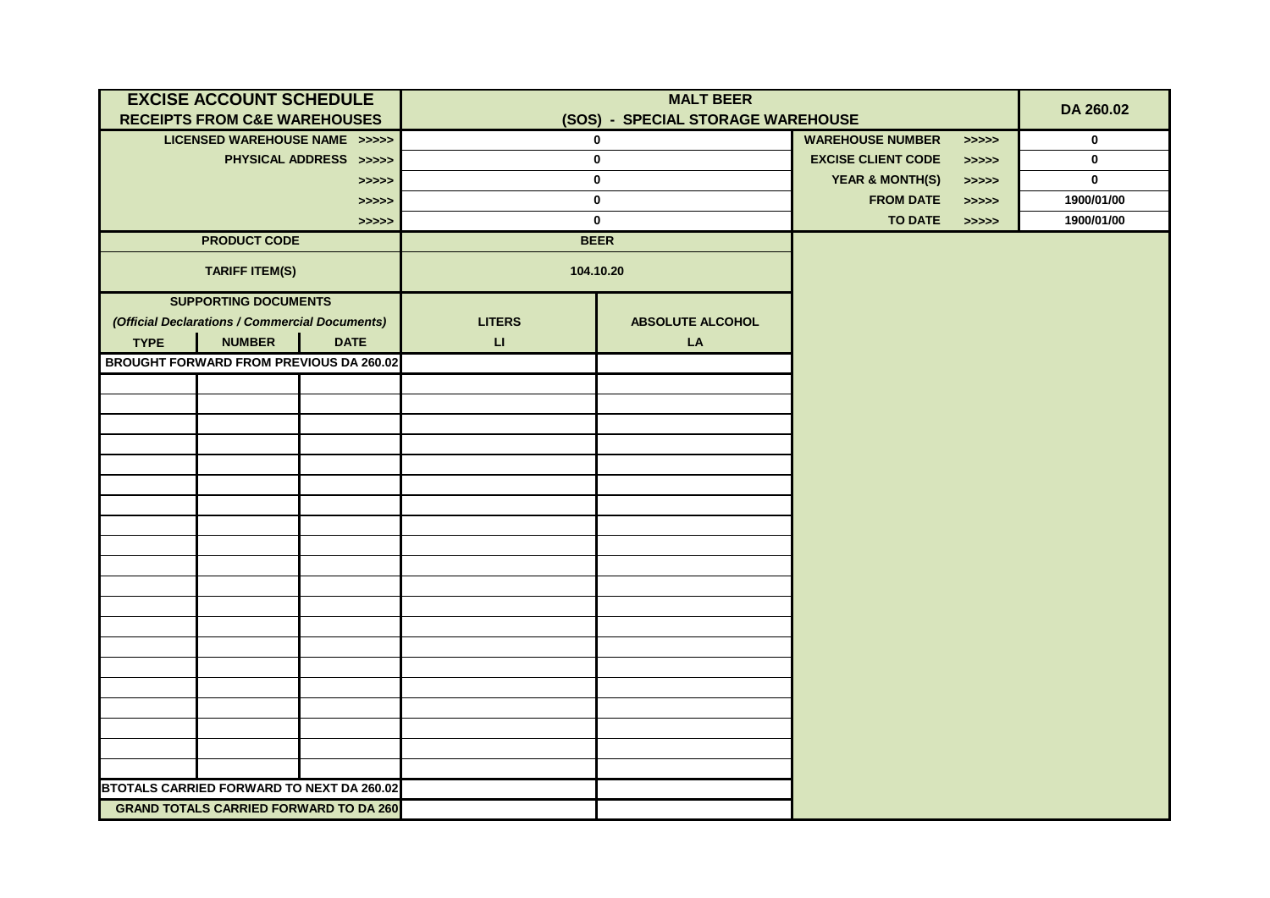| <b>EXCISE ACCOUNT SCHEDULE</b>          |                                                |                                                |               |                                   |                                                   |                                                   |             |
|-----------------------------------------|------------------------------------------------|------------------------------------------------|---------------|-----------------------------------|---------------------------------------------------|---------------------------------------------------|-------------|
| <b>RECEIPTS FROM C&amp;E WAREHOUSES</b> |                                                |                                                |               | (SOS) - SPECIAL STORAGE WAREHOUSE |                                                   | DA 260.02                                         |             |
|                                         | LICENSED WAREHOUSE NAME >>>>>                  |                                                | $\mathbf 0$   |                                   | <b>WAREHOUSE NUMBER</b>                           | $\Rightarrow \Rightarrow \Rightarrow \Rightarrow$ | $\mathbf 0$ |
|                                         |                                                | PHYSICAL ADDRESS >>>>>                         | $\mathbf 0$   |                                   | <b>EXCISE CLIENT CODE</b>                         | >>>>>                                             | $\mathbf 0$ |
|                                         |                                                | >>>>>                                          | 0             |                                   | <b>YEAR &amp; MONTH(S)</b>                        | $\Rightarrow \Rightarrow \Rightarrow \Rightarrow$ | $\mathbf 0$ |
|                                         |                                                | >>>>>                                          | 0             |                                   | <b>FROM DATE</b>                                  | $\Rightarrow \Rightarrow \Rightarrow \Rightarrow$ | 1900/01/00  |
|                                         |                                                | > >> > >                                       |               | <b>TO DATE</b>                    | $\Rightarrow \Rightarrow \Rightarrow \Rightarrow$ | 1900/01/00                                        |             |
|                                         | <b>PRODUCT CODE</b>                            |                                                | <b>BEER</b>   |                                   |                                                   |                                                   |             |
|                                         | <b>TARIFF ITEM(S)</b>                          |                                                | 104.10.20     |                                   |                                                   |                                                   |             |
|                                         | <b>SUPPORTING DOCUMENTS</b>                    |                                                |               |                                   |                                                   |                                                   |             |
|                                         | (Official Declarations / Commercial Documents) |                                                | <b>LITERS</b> | <b>ABSOLUTE ALCOHOL</b>           |                                                   |                                                   |             |
| <b>TYPE</b>                             | <b>NUMBER</b>                                  | <b>DATE</b>                                    | $\sqcup$      | ${\sf LA}$                        |                                                   |                                                   |             |
|                                         |                                                | <b>BROUGHT FORWARD FROM PREVIOUS DA 260.02</b> |               |                                   |                                                   |                                                   |             |
|                                         |                                                |                                                |               |                                   |                                                   |                                                   |             |
|                                         |                                                |                                                |               |                                   |                                                   |                                                   |             |
|                                         |                                                |                                                |               |                                   |                                                   |                                                   |             |
|                                         |                                                |                                                |               |                                   |                                                   |                                                   |             |
|                                         |                                                |                                                |               |                                   |                                                   |                                                   |             |
|                                         |                                                |                                                |               |                                   |                                                   |                                                   |             |
|                                         |                                                |                                                |               |                                   |                                                   |                                                   |             |
|                                         |                                                |                                                |               |                                   |                                                   |                                                   |             |
|                                         |                                                |                                                |               |                                   |                                                   |                                                   |             |
|                                         |                                                |                                                |               |                                   |                                                   |                                                   |             |
|                                         |                                                |                                                |               |                                   |                                                   |                                                   |             |
|                                         |                                                |                                                |               |                                   |                                                   |                                                   |             |
|                                         |                                                |                                                |               |                                   |                                                   |                                                   |             |
|                                         |                                                |                                                |               |                                   |                                                   |                                                   |             |
|                                         |                                                |                                                |               |                                   |                                                   |                                                   |             |
|                                         |                                                |                                                |               |                                   |                                                   |                                                   |             |
|                                         |                                                |                                                |               |                                   |                                                   |                                                   |             |
|                                         |                                                |                                                |               |                                   |                                                   |                                                   |             |
|                                         |                                                |                                                |               |                                   |                                                   |                                                   |             |
|                                         |                                                | BTOTALS CARRIED FORWARD TO NEXT DA 260.02      |               |                                   |                                                   |                                                   |             |
|                                         |                                                | <b>GRAND TOTALS CARRIED FORWARD TO DA 260</b>  |               |                                   |                                                   |                                                   |             |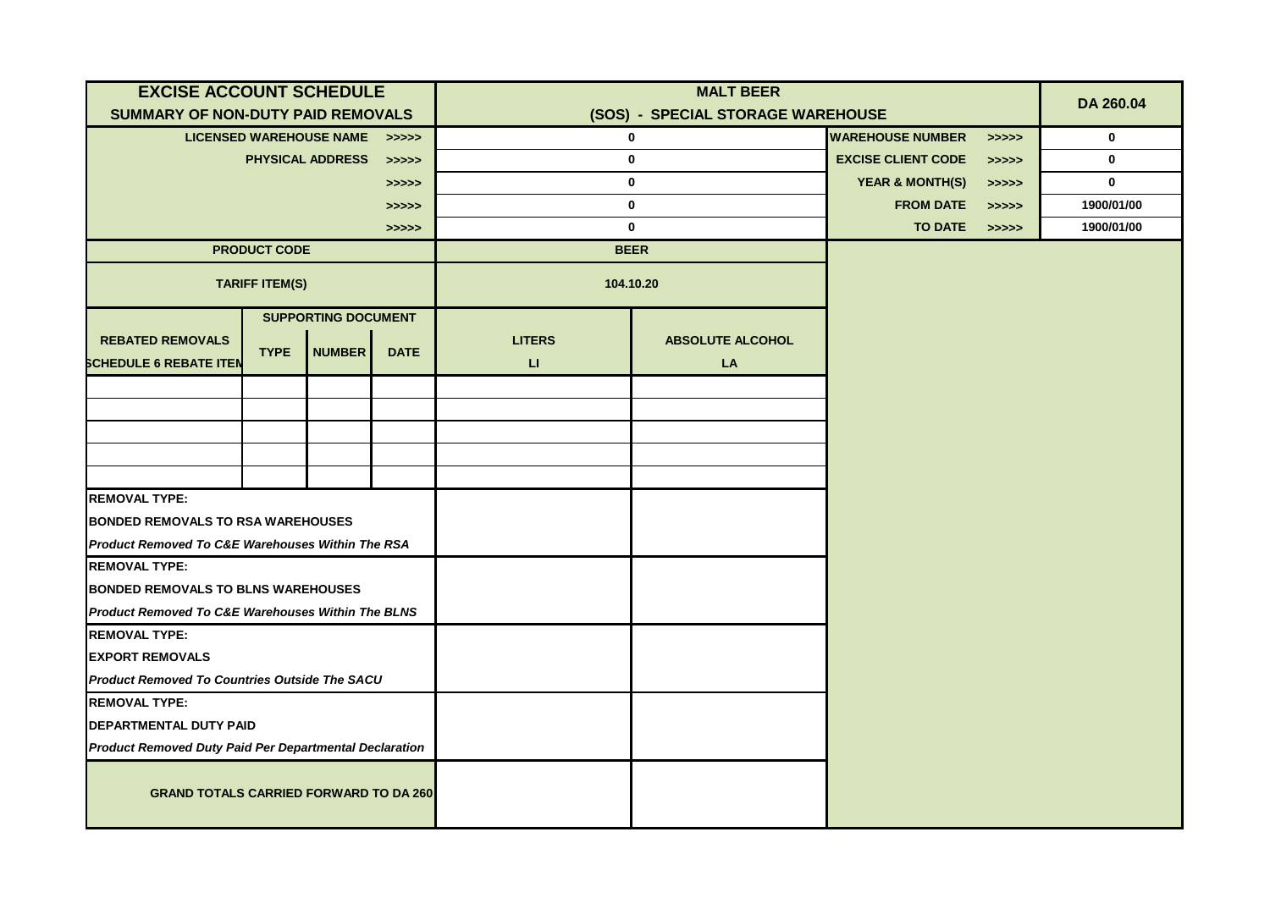| <b>EXCISE ACCOUNT SCHEDULE</b>                                |                       |                               |             | <b>MALT BEER</b> |                                   |                            |       | DA 260.04   |
|---------------------------------------------------------------|-----------------------|-------------------------------|-------------|------------------|-----------------------------------|----------------------------|-------|-------------|
| SUMMARY OF NON-DUTY PAID REMOVALS                             |                       |                               |             |                  | (SOS) - SPECIAL STORAGE WAREHOUSE |                            |       |             |
|                                                               |                       | LICENSED WAREHOUSE NAME >>>>> |             | $\mathbf 0$      |                                   | <b>WAREHOUSE NUMBER</b>    | >>>>> | $\mathbf 0$ |
|                                                               |                       | <b>PHYSICAL ADDRESS</b>       | >>>>>       | $\bf{0}$         |                                   | <b>EXCISE CLIENT CODE</b>  | >>>>> | $\mathbf 0$ |
|                                                               |                       |                               | >>>>>       | $\bf{0}$         |                                   | <b>YEAR &amp; MONTH(S)</b> | >>>>> | $\mathbf 0$ |
|                                                               |                       |                               | >>>>>       | $\mathbf{0}$     |                                   | <b>FROM DATE</b>           | >>>>> | 1900/01/00  |
|                                                               |                       |                               | >>>>>       | $\mathbf 0$      |                                   | TO DATE >>>>>              |       | 1900/01/00  |
|                                                               | <b>PRODUCT CODE</b>   |                               |             | <b>BEER</b>      |                                   |                            |       |             |
|                                                               | <b>TARIFF ITEM(S)</b> |                               |             | 104.10.20        |                                   |                            |       |             |
|                                                               |                       | <b>SUPPORTING DOCUMENT</b>    |             |                  |                                   |                            |       |             |
| <b>REBATED REMOVALS</b>                                       | <b>TYPE</b>           | <b>NUMBER</b>                 |             | <b>LITERS</b>    | <b>ABSOLUTE ALCOHOL</b>           |                            |       |             |
| <b>SCHEDULE 6 REBATE ITEN</b>                                 |                       |                               | <b>DATE</b> | Ц                | LA                                |                            |       |             |
|                                                               |                       |                               |             |                  |                                   |                            |       |             |
|                                                               |                       |                               |             |                  |                                   |                            |       |             |
|                                                               |                       |                               |             |                  |                                   |                            |       |             |
|                                                               |                       |                               |             |                  |                                   |                            |       |             |
|                                                               |                       |                               |             |                  |                                   |                            |       |             |
| <b>REMOVAL TYPE:</b>                                          |                       |                               |             |                  |                                   |                            |       |             |
| <b>BONDED REMOVALS TO RSA WAREHOUSES</b>                      |                       |                               |             |                  |                                   |                            |       |             |
| Product Removed To C&E Warehouses Within The RSA              |                       |                               |             |                  |                                   |                            |       |             |
| <b>REMOVAL TYPE:</b>                                          |                       |                               |             |                  |                                   |                            |       |             |
| <b>BONDED REMOVALS TO BLNS WAREHOUSES</b>                     |                       |                               |             |                  |                                   |                            |       |             |
| <b>Product Removed To C&amp;E Warehouses Within The BLNS</b>  |                       |                               |             |                  |                                   |                            |       |             |
| <b>REMOVAL TYPE:</b>                                          |                       |                               |             |                  |                                   |                            |       |             |
| <b>EXPORT REMOVALS</b>                                        |                       |                               |             |                  |                                   |                            |       |             |
| <b>Product Removed To Countries Outside The SACU</b>          |                       |                               |             |                  |                                   |                            |       |             |
| <b>REMOVAL TYPE:</b>                                          |                       |                               |             |                  |                                   |                            |       |             |
| <b>DEPARTMENTAL DUTY PAID</b>                                 |                       |                               |             |                  |                                   |                            |       |             |
| <b>Product Removed Duty Paid Per Departmental Declaration</b> |                       |                               |             |                  |                                   |                            |       |             |
| <b>GRAND TOTALS CARRIED FORWARD TO DA 260</b>                 |                       |                               |             |                  |                                   |                            |       |             |